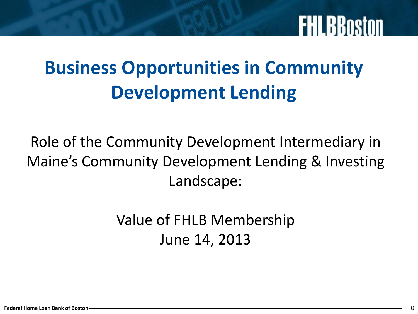### **Business Opportunities in Community Development Lending**

Role of the Community Development Intermediary in Maine's Community Development Lending & Investing Landscape:

> Value of FHLB Membership June 14, 2013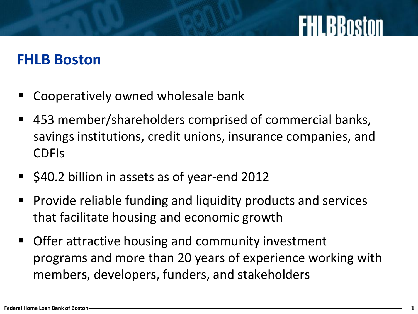### **FHLB Boston**

- Cooperatively owned wholesale bank
- 453 member/shareholders comprised of commercial banks, savings institutions, credit unions, insurance companies, and CDFIs
- **540.2 billion in assets as of year-end 2012**
- **Provide reliable funding and liquidity products and services** that facilitate housing and economic growth
- **Offer attractive housing and community investment** programs and more than 20 years of experience working with members, developers, funders, and stakeholders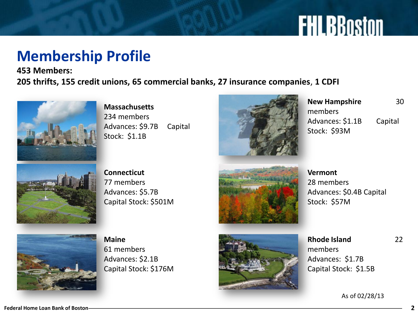### **Membership Profile**

**453 Members: 205 thrifts, 155 credit unions, 65 commercial banks, 27 insurance companies**, **1 CDFI**



**Massachusetts** 234 members Advances: \$9.7B Capital Stock: \$1.1B



**New Hampshire** 30 members Advances: \$1.1B Capital Stock: \$93M



**Connecticut** 77 members Advances: \$5.7B Capital Stock: \$501M



**Vermont**  28 members Advances: \$0.4B Capital Stock: \$57M



**Maine** 61 members Advances: \$2.1B Capital Stock: \$176M



**Rhode Island** 22 members Advances: \$1.7B Capital Stock: \$1.5B

As of 02/28/13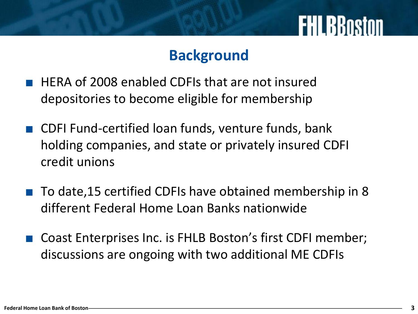#### **Background**

- HERA of 2008 enabled CDFIs that are not insured depositories to become eligible for membership
- CDFI Fund-certified loan funds, venture funds, bank holding companies, and state or privately insured CDFI credit unions
- To date, 15 certified CDFIs have obtained membership in 8 different Federal Home Loan Banks nationwide
- Coast Enterprises Inc. is FHLB Boston's first CDFI member; discussions are ongoing with two additional ME CDFIs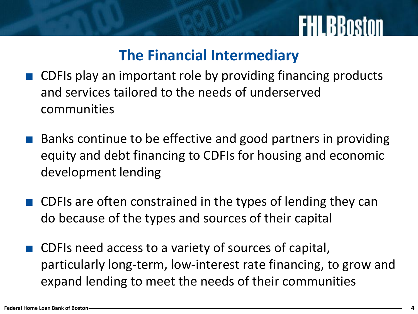### **The Financial Intermediary**

- CDFIs play an important role by providing financing products and services tailored to the needs of underserved communities
- Banks continue to be effective and good partners in providing equity and debt financing to CDFIs for housing and economic development lending
- CDFIs are often constrained in the types of lending they can do because of the types and sources of their capital
- CDFIs need access to a variety of sources of capital, particularly long-term, low-interest rate financing, to grow and expand lending to meet the needs of their communities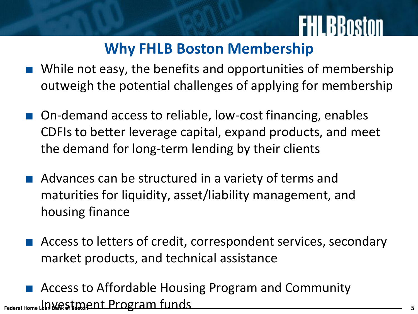### **Why FHLB Boston Membership**

- While not easy, the benefits and opportunities of membership outweigh the potential challenges of applying for membership
- On-demand access to reliable, low-cost financing, enables CDFIs to better leverage capital, expand products, and meet the demand for long-term lending by their clients
- Advances can be structured in a variety of terms and maturities for liquidity, asset/liability management, and housing finance
- Access to letters of credit, correspondent services, secondary market products, and technical assistance
- **Federal Home Loan Bank of Boston** Investment Program funds **<sup>5</sup>**Access to Affordable Housing Program and Community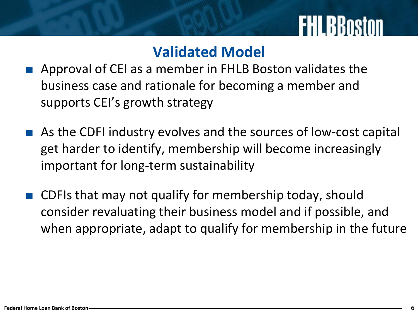### **Validated Model**

- Approval of CEI as a member in FHLB Boston validates the business case and rationale for becoming a member and supports CEI's growth strategy
- As the CDFI industry evolves and the sources of low-cost capital get harder to identify, membership will become increasingly important for long-term sustainability
- CDFIs that may not qualify for membership today, should consider revaluating their business model and if possible, and when appropriate, adapt to qualify for membership in the future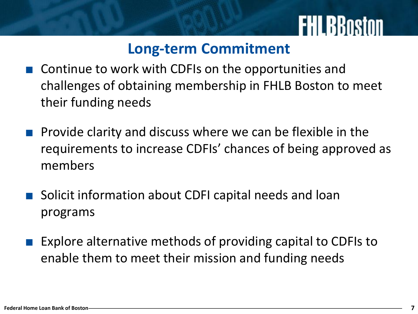#### **Long-term Commitment**

- Continue to work with CDFIs on the opportunities and challenges of obtaining membership in FHLB Boston to meet their funding needs
- Provide clarity and discuss where we can be flexible in the requirements to increase CDFIs' chances of being approved as members
- Solicit information about CDFI capital needs and loan programs
- Explore alternative methods of providing capital to CDFIs to enable them to meet their mission and funding needs